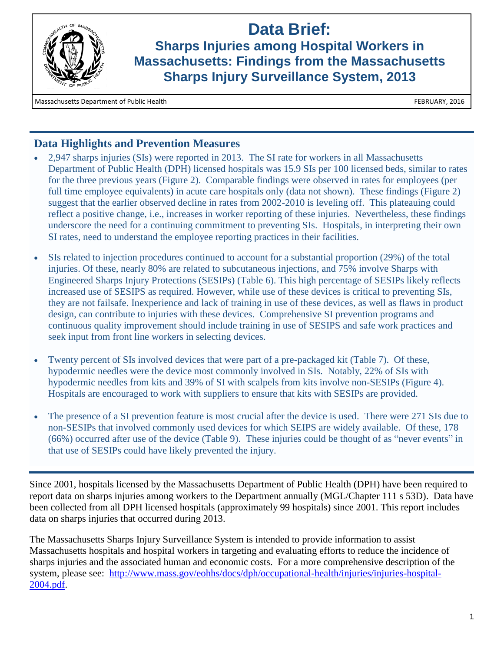

# **Data Brief:**

**Sharps Injuries among Hospital Workers in Massachusetts: Findings from the Massachusetts Sharps Injury Surveillance System, 2013**

Massachusetts Department of Public Health FEBRUARY, 2016

# **Data Highlights and Prevention Measures**

- 2,947 sharps injuries (SIs) were reported in 2013. The SI rate for workers in all Massachusetts Department of Public Health (DPH) licensed hospitals was 15.9 SIs per 100 licensed beds, similar to rates for the three previous years (Figure 2). Comparable findings were observed in rates for employees (per full time employee equivalents) in acute care hospitals only (data not shown). These findings (Figure 2) suggest that the earlier observed decline in rates from 2002-2010 is leveling off. This plateauing could reflect a positive change, i.e., increases in worker reporting of these injuries. Nevertheless, these findings underscore the need for a continuing commitment to preventing SIs. Hospitals, in interpreting their own SI rates, need to understand the employee reporting practices in their facilities.
- SIs related to injection procedures continued to account for a substantial proportion (29%) of the total injuries. Of these, nearly 80% are related to subcutaneous injections, and 75% involve Sharps with Engineered Sharps Injury Protections (SESIPs) (Table 6). This high percentage of SESIPs likely reflects increased use of SESIPS as required. However, while use of these devices is critical to preventing SIs, they are not failsafe. Inexperience and lack of training in use of these devices, as well as flaws in product design, can contribute to injuries with these devices. Comprehensive SI prevention programs and continuous quality improvement should include training in use of SESIPS and safe work practices and seek input from front line workers in selecting devices.
- Twenty percent of SIs involved devices that were part of a pre-packaged kit (Table 7). Of these, hypodermic needles were the device most commonly involved in SIs. Notably, 22% of SIs with hypodermic needles from kits and 39% of SI with scalpels from kits involve non-SESIPs (Figure 4). Hospitals are encouraged to work with suppliers to ensure that kits with SESIPs are provided.
- The presence of a SI prevention feature is most crucial after the device is used. There were 271 SIs due to non-SESIPs that involved commonly used devices for which SEIPS are widely available. Of these, 178 (66%) occurred after use of the device (Table 9). These injuries could be thought of as "never events" in that use of SESIPs could have likely prevented the injury.

Since 2001, hospitals licensed by the Massachusetts Department of Public Health (DPH) have been required to report data on sharps injuries among workers to the Department annually (MGL/Chapter 111 s 53D). Data have been collected from all DPH licensed hospitals (approximately 99 hospitals) since 2001. This report includes data on sharps injuries that occurred during 2013.

The Massachusetts Sharps Injury Surveillance System is intended to provide information to assist Massachusetts hospitals and hospital workers in targeting and evaluating efforts to reduce the incidence of sharps injuries and the associated human and economic costs. For a more comprehensive description of the system, please see: [http://www.mass.gov/eohhs/docs/dph/occupational-health/injuries/injuries-hospital-](http://www.mass.gov/eohhs/docs/dph/occupational-health/injuries/injuries-hospital-2004.pdf)[2004.pdf.](http://www.mass.gov/eohhs/docs/dph/occupational-health/injuries/injuries-hospital-2004.pdf)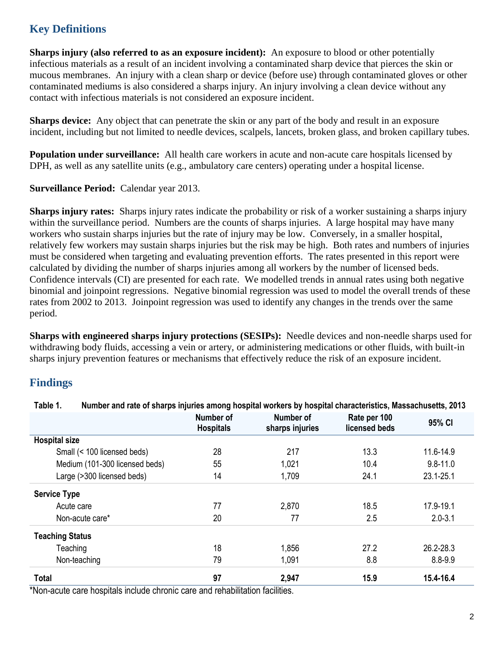# **Key Definitions**

**Sharps injury (also referred to as an exposure incident):** An exposure to blood or other potentially infectious materials as a result of an incident involving a contaminated sharp device that pierces the skin or mucous membranes. An injury with a clean sharp or device (before use) through contaminated gloves or other contaminated mediums is also considered a sharps injury. An injury involving a clean device without any contact with infectious materials is not considered an exposure incident.

**Sharps device:** Any object that can penetrate the skin or any part of the body and result in an exposure incident, including but not limited to needle devices, scalpels, lancets, broken glass, and broken capillary tubes.

**Population under surveillance:** All health care workers in acute and non-acute care hospitals licensed by DPH, as well as any satellite units (e.g., ambulatory care centers) operating under a hospital license.

**Surveillance Period:** Calendar year 2013.

**Sharps injury rates:** Sharps injury rates indicate the probability or risk of a worker sustaining a sharps injury within the surveillance period. Numbers are the counts of sharps injuries. A large hospital may have many workers who sustain sharps injuries but the rate of injury may be low. Conversely, in a smaller hospital, relatively few workers may sustain sharps injuries but the risk may be high. Both rates and numbers of injuries must be considered when targeting and evaluating prevention efforts. The rates presented in this report were calculated by dividing the number of sharps injuries among all workers by the number of licensed beds. Confidence intervals (CI) are presented for each rate. We modelled trends in annual rates using both negative binomial and joinpoint regressions. Negative binomial regression was used to model the overall trends of these rates from 2002 to 2013. Joinpoint regression was used to identify any changes in the trends over the same period.

**Sharps with engineered sharps injury protections (SESIPs):** Needle devices and non-needle sharps used for withdrawing body fluids, accessing a vein or artery, or administering medications or other fluids, with built-in sharps injury prevention features or mechanisms that effectively reduce the risk of an exposure incident.

# **Findings**

|                                | Number of<br><b>Hospitals</b> | Number of<br>sharps injuries | Rate per 100<br>licensed beds | 95% CI        |
|--------------------------------|-------------------------------|------------------------------|-------------------------------|---------------|
| <b>Hospital size</b>           |                               |                              |                               |               |
| Small (< 100 licensed beds)    | 28                            | 217                          | 13.3                          | 11.6-14.9     |
| Medium (101-300 licensed beds) | 55                            | 1,021                        | 10.4                          | $9.8 - 11.0$  |
| Large (>300 licensed beds)     | 14                            | 1,709                        | 24.1                          | $23.1 - 25.1$ |
| <b>Service Type</b>            |                               |                              |                               |               |
| Acute care                     | 77                            | 2,870                        | 18.5                          | 17.9-19.1     |
| Non-acute care*                | 20                            | 77                           | 2.5                           | $2.0 - 3.1$   |
| <b>Teaching Status</b>         |                               |                              |                               |               |
| Teaching                       | 18                            | 1,856                        | 27.2                          | 26.2-28.3     |
| Non-teaching                   | 79                            | 1,091                        | 8.8                           | 8.8-9.9       |
| <b>Total</b>                   | 97                            | 2,947                        | 15.9                          | 15.4-16.4     |

**Table 1. Number and rate of sharps injuries among hospital workers by hospital characteristics, Massachusetts, 2013**

\*Non-acute care hospitals include chronic care and rehabilitation facilities.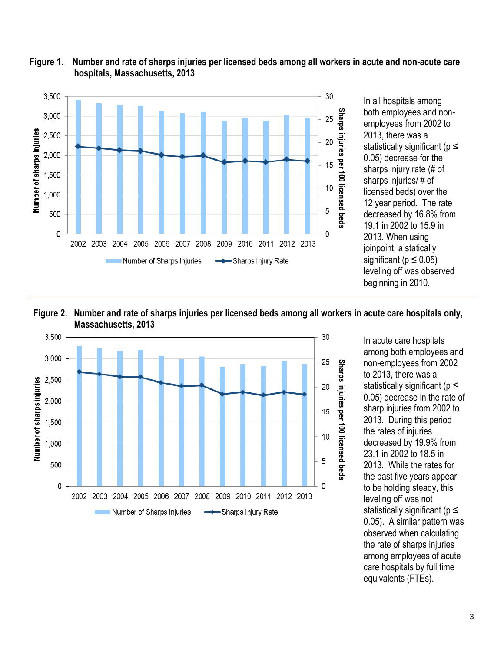

#### **Figure 1. Number and rate of sharps injuries per licensed beds among all workers in acute and non-acute care hospitals, Massachusetts, 2013**







In acute care hospitals among both employees and non-employees from 2002 to 2013, there was a statistically significant ( $p \le$ 0.05) decrease in the rate of sharp injuries from 2002 to 2013. During this period the rates of injuries decreased by 19.9% from 23.1 in 2002 to 18.5 in 2013. While the rates for the past five years appear to be holding steady, this leveling off was not statistically significant ( $p \le$ 0.05). A similar pattern was observed when calculating the rate of sharps injuries among employees of acute care hospitals by full time equivalents (FTEs).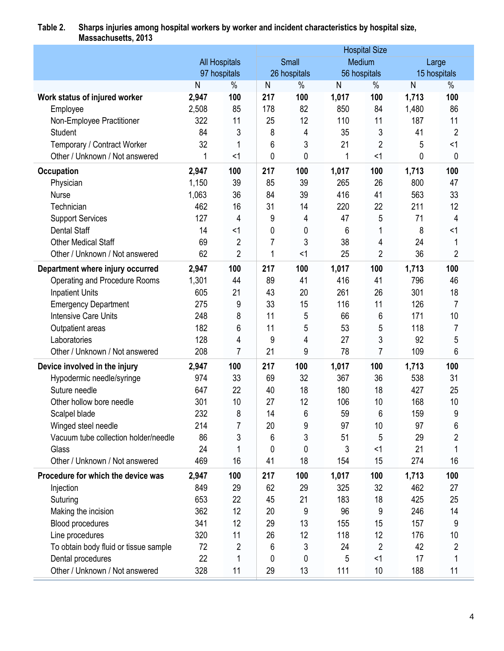| <b>INADUAUTIAUULLU, LUTU</b>          |                      |                |     |              |       | <b>Hospital Size</b> |       |                |
|---------------------------------------|----------------------|----------------|-----|--------------|-------|----------------------|-------|----------------|
|                                       | <b>All Hospitals</b> |                |     | Small        |       | Medium               |       | Large          |
|                                       | 97 hospitals         |                |     | 26 hospitals |       | 56 hospitals         |       | 15 hospitals   |
|                                       | N                    | $\%$           | N   | $\%$         | N     | $\%$                 | N     | $\frac{0}{0}$  |
| Work status of injured worker         | 2,947                | 100            | 217 | 100          | 1,017 | 100                  | 1,713 | 100            |
| Employee                              | 2,508                | 85             | 178 | 82           | 850   | 84                   | 1,480 | 86             |
| Non-Employee Practitioner             | 322                  | 11             | 25  | 12           | 110   | 11                   | 187   | 11             |
| <b>Student</b>                        | 84                   | 3              | 8   | 4            | 35    | 3                    | 41    | $\overline{2}$ |
| Temporary / Contract Worker           | 32                   | 1              | 6   | 3            | 21    | 2                    | 5     | <1             |
| Other / Unknown / Not answered        | 1                    | $<$ 1          | 0   | 0            | 1     | <1                   | 0     | 0              |
| <b>Occupation</b>                     | 2,947                | 100            | 217 | 100          | 1,017 | 100                  | 1,713 | 100            |
| Physician                             | 1,150                | 39             | 85  | 39           | 265   | 26                   | 800   | 47             |
| <b>Nurse</b>                          | 1,063                | 36             | 84  | 39           | 416   | 41                   | 563   | 33             |
| Technician                            | 462                  | 16             | 31  | 14           | 220   | 22                   | 211   | 12             |
| <b>Support Services</b>               | 127                  | 4              | 9   | 4            | 47    | 5                    | 71    | 4              |
| <b>Dental Staff</b>                   | 14                   | $<$ 1          | 0   | 0            | 6     | 1                    | 8     | $<$ 1          |
| <b>Other Medical Staff</b>            | 69                   | 2              | 7   | 3            | 38    | 4                    | 24    | 1              |
| Other / Unknown / Not answered        | 62                   | $\overline{2}$ | 1   | <1           | 25    | $\overline{2}$       | 36    | $\overline{2}$ |
| Department where injury occurred      | 2,947                | 100            | 217 | 100          | 1,017 | 100                  | 1,713 | 100            |
| Operating and Procedure Rooms         | 1,301                | 44             | 89  | 41           | 416   | 41                   | 796   | 46             |
| <b>Inpatient Units</b>                | 605                  | 21             | 43  | 20           | 261   | 26                   | 301   | 18             |
| <b>Emergency Department</b>           | 275                  | 9              | 33  | 15           | 116   | 11                   | 126   | $\overline{7}$ |
| <b>Intensive Care Units</b>           | 248                  | 8              | 11  | 5            | 66    | 6                    | 171   | 10             |
| Outpatient areas                      | 182                  | 6              | 11  | 5            | 53    | 5                    | 118   | $\overline{7}$ |
| Laboratories                          | 128                  | 4              | 9   | 4            | 27    | 3                    | 92    | 5              |
| Other / Unknown / Not answered        | 208                  | 7              | 21  | 9            | 78    | 7                    | 109   | 6              |
| Device involved in the injury         | 2,947                | 100            | 217 | 100          | 1,017 | 100                  | 1,713 | 100            |
| Hypodermic needle/syringe             | 974                  | 33             | 69  | 32           | 367   | 36                   | 538   | 31             |
| Suture needle                         | 647                  | 22             | 40  | 18           | 180   | 18                   | 427   | 25             |
| Other hollow bore needle              | 301                  | 10             | 27  | 12           | 106   | 10                   | 168   | 10             |
| Scalpel blade                         | 232                  | 8              | 14  | 6            | 59    | 6                    | 159   | 9              |
| Winged steel needle                   | 214                  |                | 20  | 9            | 97    | 10                   | 97    | 6              |
| Vacuum tube collection holder/needle  | 86                   | 3              | 6   | 3            | 51    | 5                    | 29    | $\overline{2}$ |
| Glass                                 | 24                   |                | 0   | 0            | 3     | <1                   | 21    |                |
| Other / Unknown / Not answered        | 469                  | 16             | 41  | 18           | 154   | 15                   | 274   | 16             |
| Procedure for which the device was    | 2,947                | 100            | 217 | 100          | 1,017 | 100                  | 1,713 | 100            |
| Injection                             | 849                  | 29             | 62  | 29           | 325   | 32                   | 462   | 27             |
| Suturing                              | 653                  | 22             | 45  | 21           | 183   | 18                   | 425   | 25             |
| Making the incision                   | 362                  | 12             | 20  | 9            | 96    | 9                    | 246   | 14             |
| Blood procedures                      | 341                  | 12             | 29  | 13           | 155   | 15                   | 157   | 9              |
| Line procedures                       | 320                  | 11             | 26  | 12           | 118   | 12                   | 176   | 10             |
| To obtain body fluid or tissue sample | 72                   | 2              | 6   | 3            | 24    | $\overline{2}$       | 42    | $\overline{c}$ |
| Dental procedures                     | 22                   | 1              | 0   | 0            | 5     | <1                   | 17    | 1              |
| Other / Unknown / Not answered        | 328                  | 11             | 29  | 13           | 111   | 10                   | 188   | 11             |
|                                       |                      |                |     |              |       |                      |       |                |

#### **Table 2. Sharps injuries among hospital workers by worker and incident characteristics by hospital size, Massachusetts, 2013**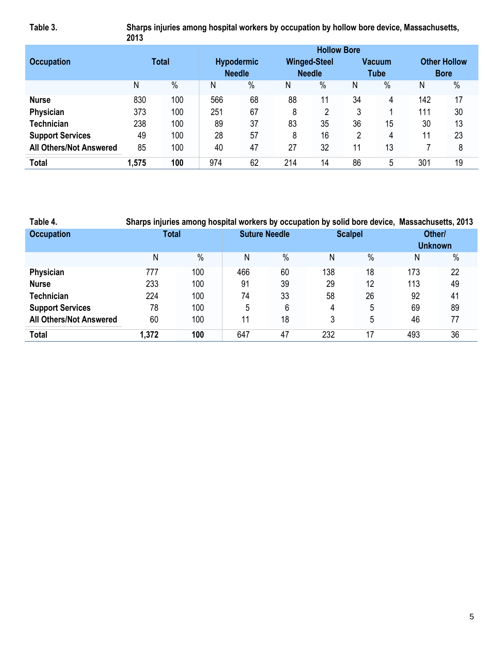**Table 3. Sharps injuries among hospital workers by occupation by hollow bore device, Massachusetts, 2013**

|                                |       |               |     |                   |     | <b>Hollow Bore</b>  |    |               |             |                     |
|--------------------------------|-------|---------------|-----|-------------------|-----|---------------------|----|---------------|-------------|---------------------|
| <b>Occupation</b>              |       | <b>Total</b>  |     | <b>Hypodermic</b> |     | <b>Winged-Steel</b> |    | <b>Vacuum</b> |             | <b>Other Hollow</b> |
|                                |       |               |     | <b>Needle</b>     |     | <b>Needle</b>       |    | <b>Tube</b>   | <b>Bore</b> |                     |
|                                | Ν     | $\frac{0}{0}$ | Ν   | $\frac{0}{0}$     | Ν   | $\%$                | Ν  | $\%$          | Ν           | $\%$                |
| <b>Nurse</b>                   | 830   | 100           | 566 | 68                | 88  | 11                  | 34 | 4             | 142         | 17                  |
| Physician                      | 373   | 100           | 251 | 67                | 8   | 2                   | 3  |               | 111         | 30                  |
| <b>Technician</b>              | 238   | 100           | 89  | 37                | 83  | 35                  | 36 | 15            | 30          | 13                  |
| <b>Support Services</b>        | 49    | 100           | 28  | 57                | 8   | 16                  | 2  | 4             | 11          | 23                  |
| <b>All Others/Not Answered</b> | 85    | 100           | 40  | 47                | 27  | 32                  | 11 | 13            |             | 8                   |
| <b>Total</b>                   | 1,575 | 100           | 974 | 62                | 214 | 14                  | 86 | 5             | 301         | 19                  |

| Table 4.                       | Sharps injuries among hospital workers by occupation by solid bore device, Massachusetts, 2013 |      |                      |               |                |               |                |      |
|--------------------------------|------------------------------------------------------------------------------------------------|------|----------------------|---------------|----------------|---------------|----------------|------|
| <b>Occupation</b>              | <b>Total</b>                                                                                   |      | <b>Suture Needle</b> |               | <b>Scalpel</b> |               | Other/         |      |
|                                |                                                                                                |      |                      |               |                |               | <b>Unknown</b> |      |
|                                | Ν                                                                                              | $\%$ | N                    | $\frac{0}{0}$ | Ν              | $\frac{0}{0}$ | N              | $\%$ |
| Physician                      | 777                                                                                            | 100  | 466                  | 60            | 138            | 18            | 173            | 22   |
| <b>Nurse</b>                   | 233                                                                                            | 100  | 91                   | 39            | 29             | 12            | 113            | 49   |
| <b>Technician</b>              | 224                                                                                            | 100  | 74                   | 33            | 58             | 26            | 92             | 41   |
| <b>Support Services</b>        | 78                                                                                             | 100  | 5                    | 6             | 4              | 5             | 69             | 89   |
| <b>All Others/Not Answered</b> | 60                                                                                             | 100  | 11                   | 18            | 3              | 5             | 46             | 77   |
| <b>Total</b>                   | 1.372                                                                                          | 100  | 647                  | 47            | 232            | 17            | 493            | 36   |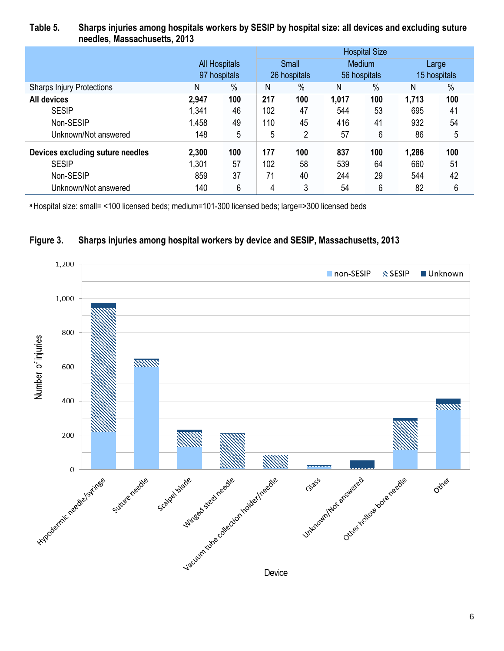#### **Table 5. Sharps injuries among hospitals workers by SESIP by hospital size: all devices and excluding suture needles, Massachusetts, 2013**

|                                  |       |                      | <b>Hospital Size</b> |              |       |              |       |              |  |
|----------------------------------|-------|----------------------|----------------------|--------------|-------|--------------|-------|--------------|--|
|                                  |       | <b>All Hospitals</b> |                      | Small        |       | Medium       |       | Large        |  |
|                                  |       | 97 hospitals         |                      | 26 hospitals |       | 56 hospitals |       | 15 hospitals |  |
| <b>Sharps Injury Protections</b> | Ν     | $\%$                 | N                    | $\%$         | N     | $\%$         | N     | %            |  |
| <b>All devices</b>               | 2,947 | 100                  | 217                  | 100          | 1,017 | 100          | 1,713 | 100          |  |
| <b>SESIP</b>                     | 1,341 | 46                   | 102                  | 47           | 544   | 53           | 695   | 41           |  |
| Non-SESIP                        | 1,458 | 49                   | 110                  | 45           | 416   | 41           | 932   | 54           |  |
| Unknown/Not answered             | 148   | 5                    | 5                    | 2            | 57    | 6            | 86    | 5            |  |
| Devices excluding suture needles | 2,300 | 100                  | 177                  | 100          | 837   | 100          | 1,286 | 100          |  |
| <b>SESIP</b>                     | 1,301 | 57                   | 102                  | 58           | 539   | 64           | 660   | 51           |  |
| Non-SESIP                        | 859   | 37                   | 71                   | 40           | 244   | 29           | 544   | 42           |  |
| Unknown/Not answered             | 140   | 6                    | 4                    | 3            | 54    | 6            | 82    | 6            |  |

<sup>a</sup>Hospital size: small= <100 licensed beds; medium=101-300 licensed beds; large=>300 licensed beds



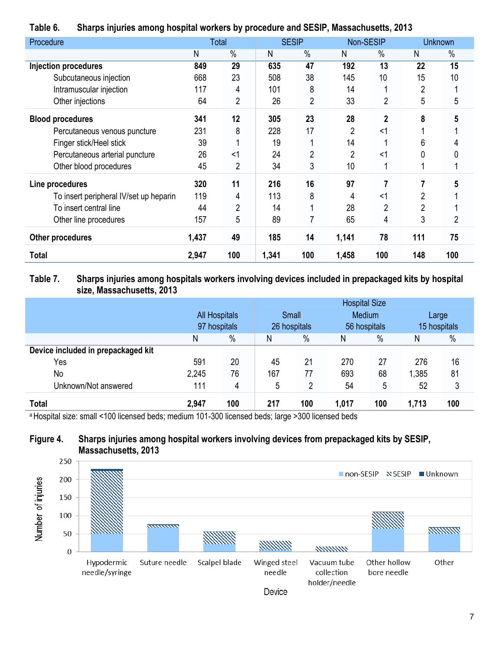|                                        |       | . .            |       |                |       |                |                |                |
|----------------------------------------|-------|----------------|-------|----------------|-------|----------------|----------------|----------------|
| Procedure                              |       | Total          |       | <b>SESIP</b>   |       | Non-SESIP      |                | <b>Unknown</b> |
|                                        | N     | $\%$           | N     | $\%$           | Ν     | $\%$           | N              | $\%$           |
| <b>Injection procedures</b>            | 849   | 29             | 635   | 47             | 192   | 13             | 22             | 15             |
| Subcutaneous injection                 | 668   | 23             | 508   | 38             | 145   | 10             | 15             | 10             |
| Intramuscular injection                | 117   | 4              | 101   | 8              | 14    |                | $\overline{2}$ |                |
| Other injections                       | 64    | 2              | 26    | $\overline{2}$ | 33    | 2              | 5              | 5              |
| <b>Blood procedures</b>                | 341   | 12             | 305   | 23             | 28    | $\mathbf{2}$   | 8              |                |
| Percutaneous venous puncture           | 231   | 8              | 228   | 17             | 2     | <1             |                |                |
| Finger stick/Heel stick                | 39    |                | 19    |                | 14    |                | 6              |                |
| Percutaneous arterial puncture         | 26    | <1             | 24    | $\overline{2}$ | 2     | <1             | 0              |                |
| Other blood procedures                 | 45    | $\overline{2}$ | 34    | 3              | 10    |                |                |                |
| Line procedures                        | 320   | 11             | 216   | 16             | 97    | 7              |                |                |
| To insert peripheral IV/set up heparin | 119   | 4              | 113   | 8              | 4     | <1             | 2              |                |
| To insert central line                 | 44    | $\overline{2}$ | 14    |                | 28    | $\overline{2}$ | $\overline{2}$ |                |
| Other line procedures                  | 157   | 5              | 89    | 7              | 65    | 4              | 3              | 2              |
| Other procedures                       | 1,437 | 49             | 185   | 14             | 1,141 | 78             | 111            | 75             |
| Total                                  | 2,947 | 100            | 1,341 | 100            | 1,458 | 100            | 148            | 100            |

#### **Table 6. Sharps injuries among hospital workers by procedure and SESIP, Massachusetts, 2013**

#### **Table 7. Sharps injuries among hospitals workers involving devices included in prepackaged kits by hospital size, Massachusetts, 2013**

|                                    |       |                      |     |              | <b>Hospital Size</b> |              |       |              |
|------------------------------------|-------|----------------------|-----|--------------|----------------------|--------------|-------|--------------|
|                                    |       | <b>All Hospitals</b> |     | Small        |                      | Medium       | Large |              |
|                                    |       | 97 hospitals         |     | 26 hospitals |                      | 56 hospitals |       | 15 hospitals |
|                                    | N     | $\%$                 | N   | $\%$         | Ν                    | $\%$         | Ν     | $\%$         |
| Device included in prepackaged kit |       |                      |     |              |                      |              |       |              |
| Yes                                | 591   | 20                   | 45  | 21           | 270                  | 27           | 276   | 16           |
| No                                 | 2,245 | 76                   | 167 | 77           | 693                  | 68           | 1,385 | 81           |
| Unknown/Not answered               | 111   | 4                    | 5   | 2            | 54                   | 5            | 52    | 3            |
| Total                              | 2,947 | 100                  | 217 | 100          | 1,017                | 100          | 1,713 | 100          |

<sup>a</sup>Hospital size: small <100 licensed beds; medium 101-300 licensed beds; large >300 licensed beds

### **Figure 4. Sharps injuries among hospital workers involving devices from prepackaged kits by SESIP, Massachusetts, 2013**

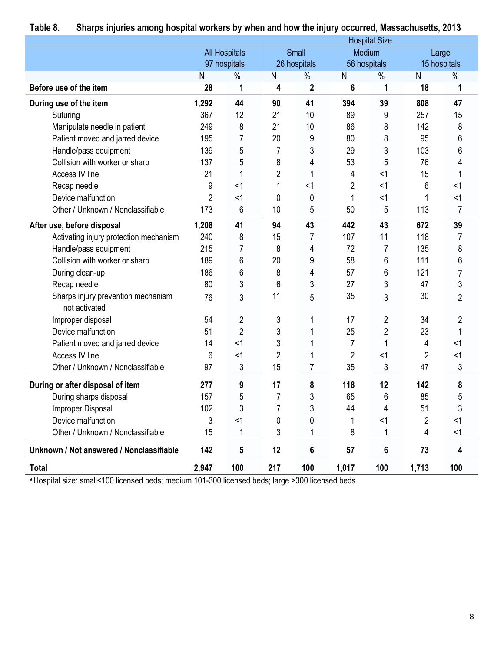|                                                     |                |                      |                |                |                | <b>Hospital Size</b> |                |                |
|-----------------------------------------------------|----------------|----------------------|----------------|----------------|----------------|----------------------|----------------|----------------|
|                                                     |                | <b>All Hospitals</b> |                | Small          |                | Medium               |                | Large          |
|                                                     |                | 97 hospitals         |                | 26 hospitals   |                | 56 hospitals         |                | 15 hospitals   |
|                                                     | N              | $\%$                 | ${\sf N}$      | $\%$           | $\mathsf{N}$   | $\%$                 | N              | $\%$           |
| Before use of the item                              | 28             | 1                    | 4              | $\mathbf 2$    | 6              | 1                    | 18             | 1              |
| During use of the item                              | 1,292          | 44                   | 90             | 41             | 394            | 39                   | 808            | 47             |
| Suturing                                            | 367            | 12                   | 21             | 10             | 89             | 9                    | 257            | 15             |
| Manipulate needle in patient                        | 249            | 8                    | 21             | 10             | 86             | 8                    | 142            | 8              |
| Patient moved and jarred device                     | 195            | 7                    | 20             | 9              | 80             | 8                    | 95             | 6              |
| Handle/pass equipment                               | 139            | 5                    | 7              | 3              | 29             | 3                    | 103            | 6              |
| Collision with worker or sharp                      | 137            | 5                    | 8              | 4              | 53             | 5                    | 76             | 4              |
| Access IV line                                      | 21             |                      | $\overline{c}$ | 1              | 4              | <1                   | 15             | 1              |
| Recap needle                                        | 9              | $<$ 1                | 1              | <1             | $\overline{2}$ | <1                   | 6              | <1             |
| Device malfunction                                  | $\overline{2}$ | $<$ 1                | 0              | 0              | 1              | <1                   | 1              | <1             |
| Other / Unknown / Nonclassifiable                   | 173            | 6                    | 10             | 5              | 50             | 5                    | 113            | 7              |
| After use, before disposal                          | 1,208          | 41                   | 94             | 43             | 442            | 43                   | 672            | 39             |
| Activating injury protection mechanism              | 240            | 8                    | 15             | 7              | 107            | 11                   | 118            | 7              |
| Handle/pass equipment                               | 215            | 7                    | 8              | 4              | 72             | $\overline{7}$       | 135            | 8              |
| Collision with worker or sharp                      | 189            | 6                    | 20             | 9              | 58             | 6                    | 111            | 6              |
| During clean-up                                     | 186            | 6                    | 8              | 4              | 57             | 6                    | 121            | 7              |
| Recap needle                                        | 80             | 3                    | 6              | 3              | 27             | 3                    | 47             | 3              |
| Sharps injury prevention mechanism<br>not activated | 76             | 3                    | 11             | 5              | 35             | 3                    | 30             | $\overline{2}$ |
| Improper disposal                                   | 54             | 2                    | 3              | 1              | 17             | 2                    | 34             | 2              |
| Device malfunction                                  | 51             | $\overline{2}$       | 3              |                | 25             | $\overline{2}$       | 23             | 1              |
| Patient moved and jarred device                     | 14             | $<$ 1                | 3              |                | 7              |                      | 4              | <1             |
| Access IV line                                      | 6              | $<$ 1                | $\overline{c}$ |                | $\overline{2}$ | $<$ 1                | $\overline{c}$ | <1             |
| Other / Unknown / Nonclassifiable                   | 97             | 3                    | 15             | $\overline{7}$ | 35             | 3                    | 47             | 3              |
| During or after disposal of item                    | 277            | 9                    | 17             | 8              | 118            | 12                   | 142            | 8              |
| During sharps disposal                              | 157            | 5                    | $\overline{7}$ | 3              | 65             | 6                    | 85             | 5              |
| Improper Disposal                                   | 102            | 3                    | 7              | 3              | 44             | 4                    | 51             | 3              |
| Device malfunction                                  | 3              | $<$ 1                | 0              | 0              |                | <1                   | $\overline{2}$ | <1             |
| Other / Unknown / Nonclassifiable                   | 15             | 1                    | 3              | 1              | 8              | 1                    | 4              | <1             |
| Unknown / Not answered / Nonclassifiable            | 142            | 5                    | 12             | 6              | 57             | 6                    | 73             | 4              |
| <b>Total</b>                                        | 2,947          | 100                  | 217            | 100            | 1,017          | 100                  | 1,713          | 100            |

# **Table 8. Sharps injuries among hospital workers by when and how the injury occurred, Massachusetts, 2013**

a Hospital size: small<100 licensed beds; medium 101-300 licensed beds; large >300 licensed beds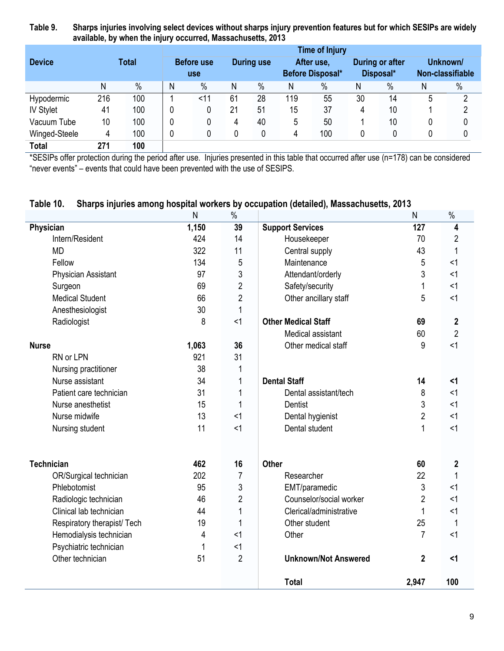**Table 9. Sharps injuries involving select devices without sharps injury prevention features but for which SESIPs are widely available, by when the injury occurred, Massachusetts, 2013**

|                   |     |              |   |                                 |    |                   |     | <b>Time of Injury</b>                 |    |                              |   |                              |
|-------------------|-----|--------------|---|---------------------------------|----|-------------------|-----|---------------------------------------|----|------------------------------|---|------------------------------|
| <b>Device</b>     |     | <b>Total</b> |   | <b>Before use</b><br><b>use</b> |    | <b>During use</b> |     | After use,<br><b>Before Disposal*</b> |    | During or after<br>Disposal* |   | Unknown/<br>Non-classifiable |
|                   | N   | $\%$         | N | $\frac{0}{0}$                   | N  | %                 | Ν   | $\%$                                  | Ν  | $\%$                         | Ν | $\%$                         |
| <b>Hypodermic</b> | 216 | 100          |   | $<$ 11                          | 61 | 28                | 119 | 55                                    | 30 | 14                           | 5 | 2                            |
| <b>IV Stylet</b>  | 41  | 100          | 0 | 0                               | 21 | 51                | 15  | 37                                    | 4  | 10                           |   | າ                            |
| Vacuum Tube       | 10  | 100          | 0 | 0                               | 4  | 40                | 5   | 50                                    |    | 10                           |   |                              |
| Winged-Steele     | 4   | 100          | 0 | 0                               |    | 0                 | 4   | 100                                   |    |                              |   |                              |
| <b>Total</b>      | 271 | 100          |   |                                 |    |                   |     |                                       |    |                              |   |                              |

\*SESIPs offer protection during the period after use. Injuries presented in this table that occurred after use (n=178) can be considered "never events" – events that could have been prevented with the use of SESIPS.

#### **Table 10. Sharps injuries among hospital workers by occupation (detailed), Massachusetts, 2013**

|                             | N     | $\%$           |                             | N              | $\%$           |
|-----------------------------|-------|----------------|-----------------------------|----------------|----------------|
| Physician                   | 1,150 | 39             | <b>Support Services</b>     | 127            | 4              |
| Intern/Resident             | 424   | 14             | Housekeeper                 | 70             | $\overline{2}$ |
| <b>MD</b>                   | 322   | 11             | Central supply              | 43             | 1              |
| Fellow                      | 134   | 5              | Maintenance                 | 5              | $<$ 1          |
| Physician Assistant         | 97    | 3              | Attendant/orderly           | 3              | $<$ 1          |
| Surgeon                     | 69    | $\overline{2}$ | Safety/security             | 1              | $<$ 1          |
| <b>Medical Student</b>      | 66    | $\overline{2}$ | Other ancillary staff       | 5              | $<$ 1          |
| Anesthesiologist            | 30    | $\mathbf{1}$   |                             |                |                |
| Radiologist                 | 8     | <1             | <b>Other Medical Staff</b>  | 69             | $\mathbf 2$    |
|                             |       |                | Medical assistant           | 60             | $\overline{2}$ |
| <b>Nurse</b>                | 1,063 | 36             | Other medical staff         | 9              | <1             |
| RN or LPN                   | 921   | 31             |                             |                |                |
| Nursing practitioner        | 38    | 1              |                             |                |                |
| Nurse assistant             | 34    | $\mathbf{1}$   | <b>Dental Staff</b>         | 14             | $\leq$ 1       |
| Patient care technician     | 31    | 1              | Dental assistant/tech       | 8              | $<$ 1          |
| Nurse anesthetist           | 15    |                | Dentist                     | 3              | $<$ 1          |
| Nurse midwife               | 13    | <1             | Dental hygienist            | $\overline{2}$ | $<$ 1          |
| Nursing student             | 11    | <1             | Dental student              | 1              | $<$ 1          |
| <b>Technician</b>           | 462   | 16             | <b>Other</b>                | 60             | 2              |
| OR/Surgical technician      | 202   | $\overline{7}$ | Researcher                  | 22             | 1              |
| Phlebotomist                | 95    | 3              | EMT/paramedic               | 3              | $<$ 1          |
| Radiologic technician       | 46    | $\overline{2}$ | Counselor/social worker     | $\overline{2}$ | $<$ 1          |
| Clinical lab technician     | 44    | $\mathbf{1}$   | Clerical/administrative     | 1              | $<$ 1          |
| Respiratory therapist/ Tech | 19    |                | Other student               | 25             | 1              |
| Hemodialysis technician     | 4     | <1             | Other                       | 7              | $<$ 1          |
| Psychiatric technician      |       | <1             |                             |                |                |
| Other technician            | 51    | $\overline{2}$ | <b>Unknown/Not Answered</b> | $\mathbf{2}$   | $\leq$ 1       |
|                             |       |                | <b>Total</b>                | 2,947          | 100            |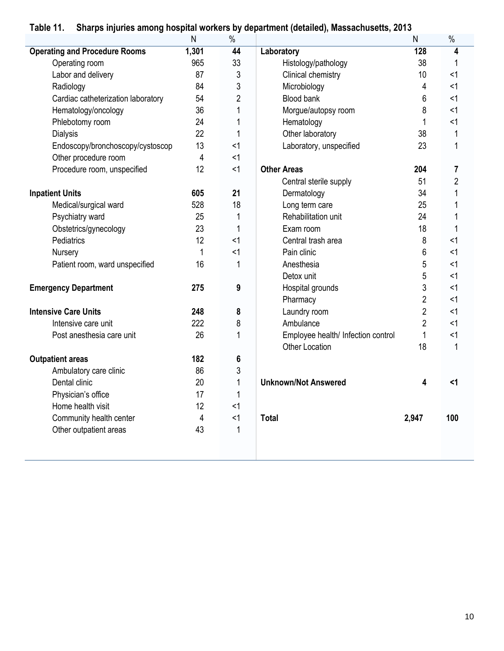| rapie 11.                            |       |                | Sharps injuries among nospital workers by department (detailed), massachusetts, 2013 |                |                |
|--------------------------------------|-------|----------------|--------------------------------------------------------------------------------------|----------------|----------------|
|                                      | N     | %              |                                                                                      | N              | $\%$           |
| <b>Operating and Procedure Rooms</b> | 1,301 | 44             | Laboratory                                                                           | 128            | 4              |
| Operating room                       | 965   | 33             | Histology/pathology                                                                  | 38             |                |
| Labor and delivery                   | 87    | 3              | Clinical chemistry                                                                   | 10             | <1             |
| Radiology                            | 84    | 3              | Microbiology                                                                         | 4              | $<$ 1          |
| Cardiac catheterization laboratory   | 54    | $\overline{2}$ | <b>Blood bank</b>                                                                    | 6              | $<$ 1          |
| Hematology/oncology                  | 36    | 1              | Morgue/autopsy room                                                                  | 8              | $<$ 1          |
| Phlebotomy room                      | 24    | 1              | Hematology                                                                           | 1              | <1             |
| <b>Dialysis</b>                      | 22    | 1              | Other laboratory                                                                     | 38             | 1              |
| Endoscopy/bronchoscopy/cystoscop     | 13    | <1             | Laboratory, unspecified                                                              | 23             | $\mathbf{1}$   |
| Other procedure room                 | 4     | <1             |                                                                                      |                |                |
| Procedure room, unspecified          | 12    | <1             | <b>Other Areas</b>                                                                   | 204            | 7              |
|                                      |       |                | Central sterile supply                                                               | 51             | $\overline{2}$ |
| <b>Inpatient Units</b>               | 605   | 21             | Dermatology                                                                          | 34             | 1              |
| Medical/surgical ward                | 528   | 18             | Long term care                                                                       | 25             | 1              |
| Psychiatry ward                      | 25    | 1              | Rehabilitation unit                                                                  | 24             | 1              |
| Obstetrics/gynecology                | 23    | 1              | Exam room                                                                            | 18             | 1              |
| Pediatrics                           | 12    | <1             | Central trash area                                                                   | 8              | <1             |
| Nursery                              | 1     | <1             | Pain clinic                                                                          | 6              | $<$ 1          |
| Patient room, ward unspecified       | 16    | 1              | Anesthesia                                                                           | 5              | <1             |
|                                      |       |                | Detox unit                                                                           | 5              | <1             |
| <b>Emergency Department</b>          | 275   | 9              | Hospital grounds                                                                     | 3              | <1             |
|                                      |       |                | Pharmacy                                                                             | $\overline{2}$ | <1             |
| <b>Intensive Care Units</b>          | 248   | 8              | Laundry room                                                                         | $\overline{2}$ | <1             |
| Intensive care unit                  | 222   | 8              | Ambulance                                                                            | $\overline{2}$ | $<$ 1          |
| Post anesthesia care unit            | 26    | 1              | Employee health/ Infection control                                                   | 1              | <1             |
|                                      |       |                | <b>Other Location</b>                                                                | 18             | $\mathbf 1$    |
| <b>Outpatient areas</b>              | 182   | 6              |                                                                                      |                |                |
| Ambulatory care clinic               | 86    | 3              |                                                                                      |                |                |
| Dental clinic                        | 20    | $\mathbf 1$    | <b>Unknown/Not Answered</b>                                                          | 4              | $\leq$ 1       |
| Physician's office                   | 17    | 1              |                                                                                      |                |                |
| Home health visit                    | 12    | <1             |                                                                                      |                |                |
| Community health center              | 4     | <1             | <b>Total</b>                                                                         | 2,947          | 100            |
| Other outpatient areas               | 43    | $\mathbf{1}$   |                                                                                      |                |                |
|                                      |       |                |                                                                                      |                |                |
|                                      |       |                |                                                                                      |                |                |

# **Table 11. Sharps injuries among hospital workers by department (detailed), Massachusetts, 2013**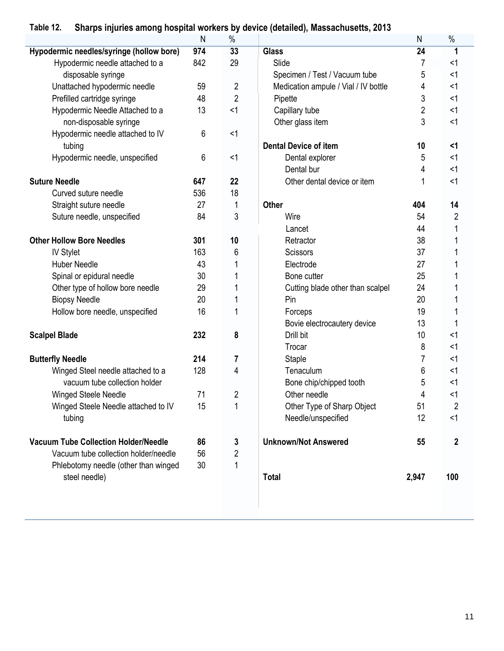## **Table 12. Sharps injuries among hospital workers by device (detailed), Massachusetts, 2013**

|                                             | N   | $\%$                    |                                      | ${\sf N}$ | $\%$             |
|---------------------------------------------|-----|-------------------------|--------------------------------------|-----------|------------------|
| Hypodermic needles/syringe (hollow bore)    | 974 | 33                      | <b>Glass</b>                         | 24        |                  |
| Hypodermic needle attached to a             | 842 | 29                      | Slide                                | 7         | $<$ 1            |
| disposable syringe                          |     |                         | Specimen / Test / Vacuum tube        | 5         | $<$ 1            |
| Unattached hypodermic needle                | 59  | $\overline{2}$          | Medication ampule / Vial / IV bottle | 4         | $<$ 1            |
| Prefilled cartridge syringe                 | 48  | $\overline{2}$          | Pipette                              | 3         | $<$ 1            |
| Hypodermic Needle Attached to a             | 13  | <1                      | Capillary tube                       | 2         | $<$ 1            |
| non-disposable syringe                      |     |                         | Other glass item                     | 3         | $<$ 1            |
| Hypodermic needle attached to IV            | 6   | <1                      |                                      |           |                  |
| tubing                                      |     |                         | <b>Dental Device of item</b>         | 10        | $1$              |
| Hypodermic needle, unspecified              | 6   | $<$ 1                   | Dental explorer                      | 5         | $<$ 1            |
|                                             |     |                         | Dental bur                           | 4         | <1               |
| <b>Suture Needle</b>                        | 647 | 22                      | Other dental device or item          | 1         | $<$ 1            |
| Curved suture needle                        | 536 | 18                      |                                      |           |                  |
| Straight suture needle                      | 27  | 1                       | <b>Other</b>                         | 404       | 14               |
| Suture needle, unspecified                  | 84  | 3                       | Wire                                 | 54        | 2                |
|                                             |     |                         | Lancet                               | 44        |                  |
| <b>Other Hollow Bore Needles</b>            | 301 | 10                      | Retractor                            | 38        |                  |
| <b>IV Stylet</b>                            | 163 | 6                       | <b>Scissors</b>                      | 37        |                  |
| <b>Huber Needle</b>                         | 43  |                         | Electrode                            | 27        |                  |
| Spinal or epidural needle                   | 30  |                         | Bone cutter                          | 25        |                  |
| Other type of hollow bore needle            | 29  |                         | Cutting blade other than scalpel     | 24        |                  |
| <b>Biopsy Needle</b>                        | 20  |                         | Pin                                  | 20        |                  |
| Hollow bore needle, unspecified             | 16  |                         | Forceps                              | 19        |                  |
|                                             |     |                         | Bovie electrocautery device          | 13        |                  |
| <b>Scalpel Blade</b>                        | 232 | 8                       | Drill bit                            | 10        | $<$ 1            |
|                                             |     |                         | Trocar                               | 8         | $<$ 1            |
| <b>Butterfly Needle</b>                     | 214 | 7                       | Staple                               | 7         | $<$ 1            |
| Winged Steel needle attached to a           | 128 | 4                       | Tenaculum                            | 6         | $<$ 1            |
| vacuum tube collection holder               |     |                         | Bone chip/chipped tooth              | 5         | $<$ 1            |
| Winged Steele Needle                        | 71  | $\overline{2}$          | Other needle                         | 4         | $<$ 1            |
| Winged Steele Needle attached to IV         | 15  | 1                       | Other Type of Sharp Object           | 51        | 2                |
| tubing                                      |     |                         | Needle/unspecified                   | 12        | <1               |
| <b>Vacuum Tube Collection Holder/Needle</b> | 86  | 3                       | <b>Unknown/Not Answered</b>          | 55        | $\boldsymbol{2}$ |
| Vacuum tube collection holder/needle        | 56  | $\overline{\mathbf{c}}$ |                                      |           |                  |
| Phlebotomy needle (other than winged        | 30  | 1                       |                                      |           |                  |
| steel needle)                               |     |                         | <b>Total</b>                         | 2,947     | 100              |
|                                             |     |                         |                                      |           |                  |